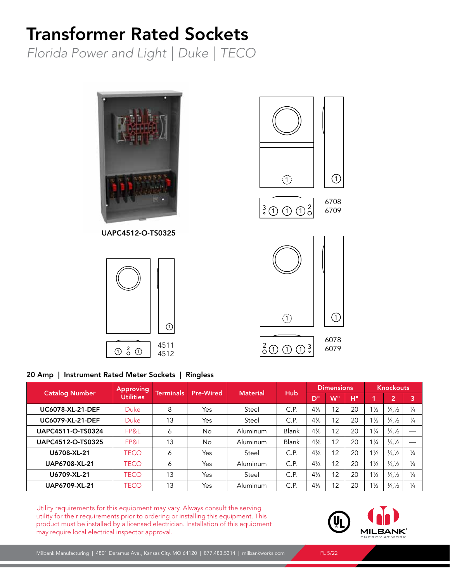# Transformer Rated Sockets

*Florida Power and Light | Duke | TECO*



### 20 Amp | Instrument Rated Meter Sockets | Ringless

| <b>Catalog Number</b>   | <b>Approving</b><br><b>Utilities</b> | Terminals | <b>Pre-Wired</b> | <b>Material</b> | <b>Hub</b> | <b>Dimensions</b> |    |    | <b>Knockouts</b> |                               |               |
|-------------------------|--------------------------------------|-----------|------------------|-----------------|------------|-------------------|----|----|------------------|-------------------------------|---------------|
|                         |                                      |           |                  |                 |            | /D"               | W" | H" |                  | $\overline{2}$                | 3             |
| <b>UC6078-XL-21-DEF</b> | <b>Duke</b>                          | 8         | Yes              | Steel           | C.P.       | $4\frac{1}{8}$    | 12 | 20 | $1\frac{1}{2}$   | $\frac{1}{4}$ , $\frac{1}{2}$ | $\frac{1}{4}$ |
| <b>UC6079-XL-21-DEF</b> | <b>Duke</b>                          | 13        | Yes              | Steel           | C.P.       | $4\frac{1}{8}$    | 12 | 20 | $1\frac{1}{2}$   | $\frac{1}{4}$                 | $\frac{1}{4}$ |
| UAPC4511-O-TS0324       | FP&L                                 | 6         | No               | Aluminum        | Blank      | $4\frac{1}{8}$    | 12 | 20 | $1\frac{1}{4}$   | $\frac{1}{4}$ / <sub>2</sub>  |               |
| UAPC4512-O-TS0325       | FP&L                                 | 13        | <b>No</b>        | Aluminum        | Blank      | $4\frac{1}{8}$    | 12 | 20 | $1\frac{1}{4}$   | $\frac{1}{4}$                 |               |
| U6708-XL-21             | <b>TECO</b>                          | 6         | Yes              | Steel           | C.P.       | $4\frac{1}{8}$    | 12 | 20 | $1\frac{1}{2}$   | $\frac{1}{4}$                 | $\frac{1}{4}$ |
| <b>UAP6708-XL-21</b>    | TECO                                 | 6         | Yes              | Aluminum        | C.P.       | $4\frac{1}{8}$    | 12 | 20 | $1\frac{1}{2}$   | $\frac{1}{4}$                 | $\frac{1}{4}$ |
| U6709-XL-21             | TECO                                 | 13        | Yes              | Steel           | C.P.       | $4\frac{1}{8}$    | 12 | 20 | $1\frac{1}{2}$   | $\frac{1}{4}$                 | $\frac{1}{4}$ |
| <b>UAP6709-XL-21</b>    | TECO                                 | 13        | Yes              | Aluminum        | C.P.       | $4\frac{1}{8}$    | 12 | 20 | $1\frac{1}{2}$   | $\frac{1}{4}$                 | $\frac{1}{4}$ |

Utility requirements for this equipment may vary. Always consult the serving utility for their requirements prior to ordering or installing this equipment. This product must be installed by a licensed electrician. Installation of this equipment may require local electrical inspector approval.